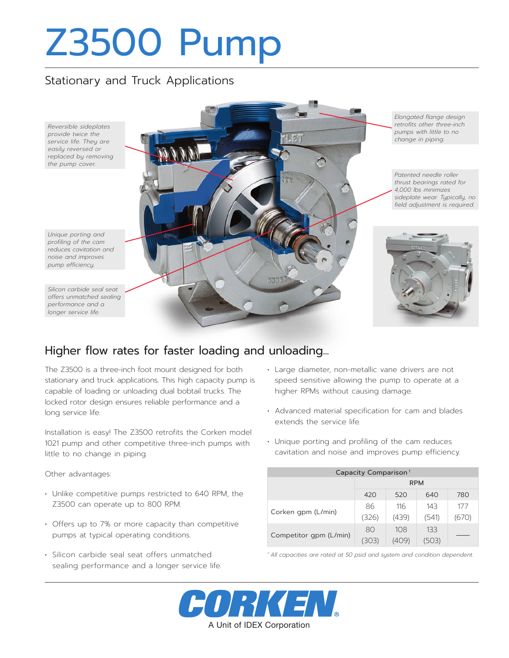# Z3500 Pump

#### Stationary and Truck Applications



### Higher flow rates for faster loading and unloading...

The Z3500 is a three-inch foot mount designed for both stationary and truck applications. This high capacity pump is capable of loading or unloading dual bobtail trucks. The locked rotor design ensures reliable performance and a long service life.

Installation is easy! The Z3500 retrofits the Corken model 1021 pump and other competitive three-inch pumps with little to no change in piping.

Other advantages:

- Unlike competitive pumps restricted to 640 RPM, the Z3500 can operate up to 800 RPM.
- Offers up to 7% or more capacity than competitive pumps at typical operating conditions.
- Silicon carbide seal seat offers unmatched sealing performance and a longer service life.
- Large diameter, non-metallic vane drivers are not speed sensitive allowing the pump to operate at a higher RPMs without causing damage.
- Advanced material specification for cam and blades extends the service life.
- Unique porting and profiling of the cam reduces cavitation and noise and improves pump efficiency.

| Capacity Comparison <sup>1</sup> |            |       |       |       |  |  |
|----------------------------------|------------|-------|-------|-------|--|--|
|                                  | <b>RPM</b> |       |       |       |  |  |
|                                  | 420        | 520   | 640   | 780   |  |  |
| Corken gpm (L/min)               | 86         | 116   | 143   | 177   |  |  |
|                                  | (326)      | (439) | (541) | (670) |  |  |
| Competitor qpm (L/min)           | 80         | 108   | 133   |       |  |  |
|                                  | 5031       | 1409) | 503)  |       |  |  |

*<sup>1</sup> All capacities are rated at 50 psid and system and condition dependent.*